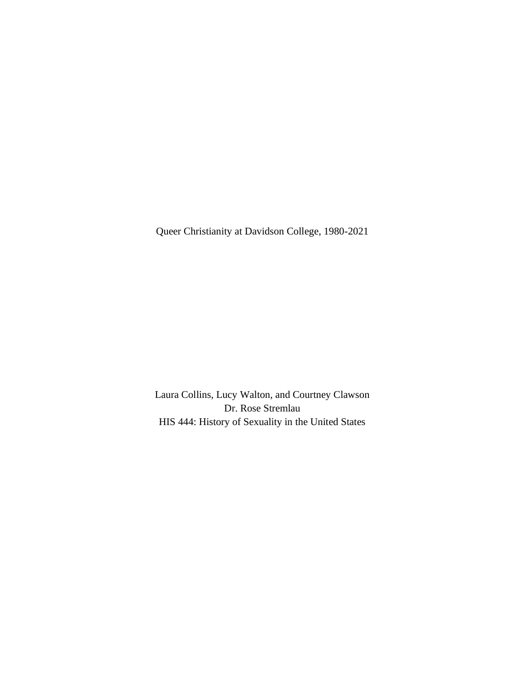Queer Christianity at Davidson College, 1980-2021

Laura Collins, Lucy Walton, and Courtney Clawson Dr. Rose Stremlau HIS 444: History of Sexuality in the United States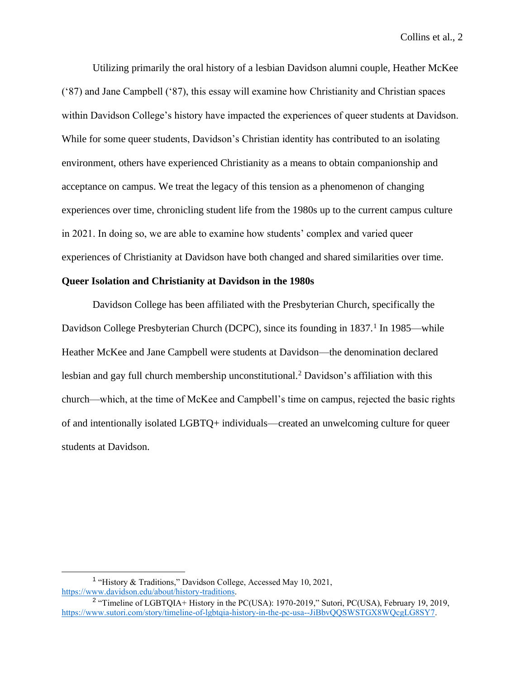Utilizing primarily the oral history of a lesbian Davidson alumni couple, Heather McKee ('87) and Jane Campbell ('87), this essay will examine how Christianity and Christian spaces within Davidson College's history have impacted the experiences of queer students at Davidson. While for some queer students, Davidson's Christian identity has contributed to an isolating environment, others have experienced Christianity as a means to obtain companionship and acceptance on campus. We treat the legacy of this tension as a phenomenon of changing experiences over time, chronicling student life from the 1980s up to the current campus culture in 2021. In doing so, we are able to examine how students' complex and varied queer experiences of Christianity at Davidson have both changed and shared similarities over time.

#### **Queer Isolation and Christianity at Davidson in the 1980s**

Davidson College has been affiliated with the Presbyterian Church, specifically the Davidson College Presbyterian Church (DCPC), since its founding in 1837.<sup>1</sup> In 1985—while Heather McKee and Jane Campbell were students at Davidson—the denomination declared lesbian and gay full church membership unconstitutional.<sup>2</sup> Davidson's affiliation with this church—which, at the time of McKee and Campbell's time on campus, rejected the basic rights of and intentionally isolated LGBTQ+ individuals—created an unwelcoming culture for queer students at Davidson.

<sup>&</sup>lt;sup>1</sup> "History & Traditions," Davidson College, Accessed May 10, 2021, [https://www.davidson.edu/about/history-traditions.](https://www.davidson.edu/about/history-traditions)

<sup>&</sup>lt;sup>2</sup> "Timeline of LGBTQIA+ History in the PC(USA): 1970-2019," Sutori, PC(USA), February 19, 2019, [https://www.sutori.com/story/timeline-of-lgbtqia-history-in-the-pc-usa--JiBbvQQSWSTGX8WQcgLG8SY7.](https://www.sutori.com/story/timeline-of-lgbtqia-history-in-the-pc-usa--JiBbvQQSWSTGX8WQcgLG8SY7)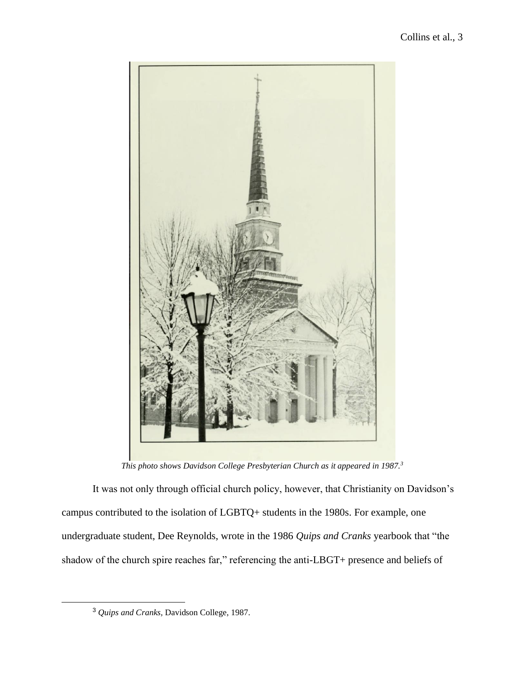

*This photo shows Davidson College Presbyterian Church as it appeared in 1987.<sup>3</sup>*

It was not only through official church policy, however, that Christianity on Davidson's campus contributed to the isolation of LGBTQ+ students in the 1980s. For example, one undergraduate student, Dee Reynolds, wrote in the 1986 *Quips and Cranks* yearbook that "the shadow of the church spire reaches far," referencing the anti-LBGT+ presence and beliefs of

<sup>3</sup> *Quips and Cranks,* Davidson College, 1987.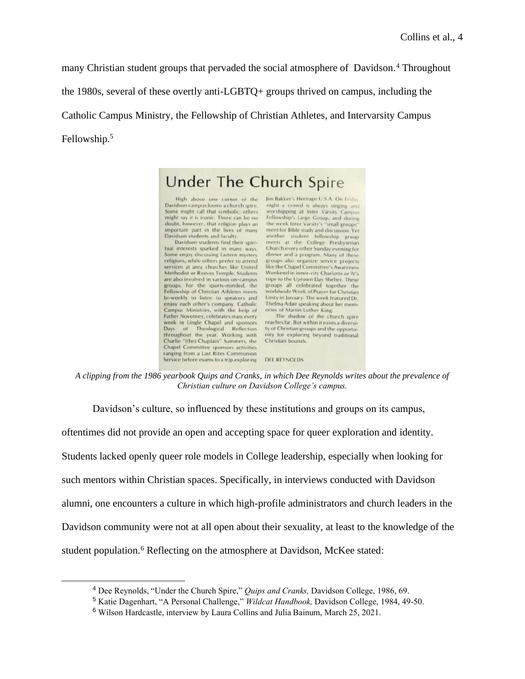many Christian student groups that pervaded the social atmosphere of Davidson.<sup>4</sup> Throughout

the 1980s, several of these overtly anti-LGBTQ+ groups thrived on campus, including the

Catholic Campus Ministry, the Fellowship of Christian Athletes, and Intervarsity Campus

Fellowship.<sup>5</sup>



*A clipping from the 1986 yearbook Quips and Cranks, in which Dee Reynolds writes about the prevalence of Christian culture on Davidson College's campus.* 

Davidson's culture, so influenced by these institutions and groups on its campus,

oftentimes did not provide an open and accepting space for queer exploration and identity. Students lacked openly queer role models in College leadership, especially when looking for such mentors within Christian spaces. Specifically, in interviews conducted with Davidson alumni, one encounters a culture in which high-profile administrators and church leaders in the Davidson community were not at all open about their sexuality, at least to the knowledge of the student population.<sup>6</sup> Reflecting on the atmosphere at Davidson, McKee stated:

<sup>4</sup> Dee Reynolds, "Under the Church Spire," *Quips and Cranks,* Davidson College, 1986, 69.

<sup>5</sup> Katie Dagenhart, "A Personal Challenge," *Wildcat Handbook,* Davidson College, 1984, 49-50.

<sup>6</sup> Wilson Hardcastle, interview by Laura Collins and Julia Bainum, March 25, 2021.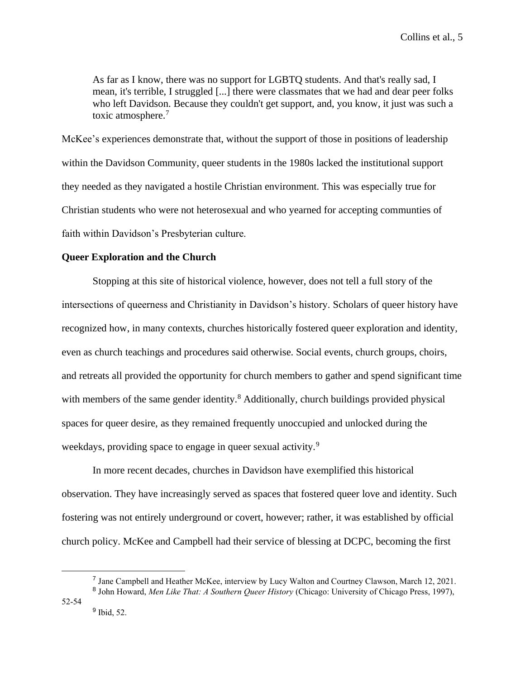As far as I know, there was no support for LGBTQ students. And that's really sad, I mean, it's terrible, I struggled [...] there were classmates that we had and dear peer folks who left Davidson. Because they couldn't get support, and, you know, it just was such a toxic atmosphere.<sup>7</sup>

McKee's experiences demonstrate that, without the support of those in positions of leadership within the Davidson Community, queer students in the 1980s lacked the institutional support they needed as they navigated a hostile Christian environment. This was especially true for Christian students who were not heterosexual and who yearned for accepting communties of faith within Davidson's Presbyterian culture.

## **Queer Exploration and the Church**

Stopping at this site of historical violence, however, does not tell a full story of the intersections of queerness and Christianity in Davidson's history. Scholars of queer history have recognized how, in many contexts, churches historically fostered queer exploration and identity, even as church teachings and procedures said otherwise. Social events, church groups, choirs, and retreats all provided the opportunity for church members to gather and spend significant time with members of the same gender identity.<sup>8</sup> Additionally, church buildings provided physical spaces for queer desire, as they remained frequently unoccupied and unlocked during the weekdays, providing space to engage in queer sexual activity.<sup>9</sup>

In more recent decades, churches in Davidson have exemplified this historical observation. They have increasingly served as spaces that fostered queer love and identity. Such fostering was not entirely underground or covert, however; rather, it was established by official church policy. McKee and Campbell had their service of blessing at DCPC, becoming the first

<sup>9</sup> Ibid, 52.

<sup>&</sup>lt;sup>7</sup> Jane Campbell and Heather McKee, interview by Lucy Walton and Courtney Clawson, March 12, 2021.

<sup>8</sup> John Howard, *Men Like That: A Southern Queer History* (Chicago: University of Chicago Press, 1997), 52-54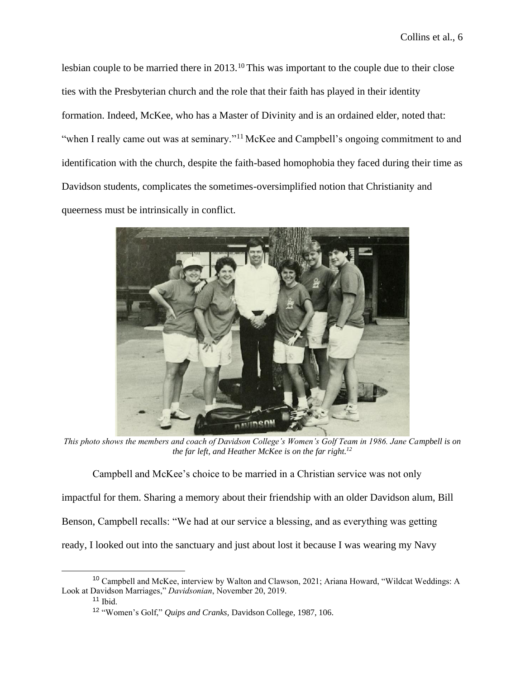lesbian couple to be married there in 2013.<sup>10</sup> This was important to the couple due to their close ties with the Presbyterian church and the role that their faith has played in their identity formation. Indeed, McKee, who has a Master of Divinity and is an ordained elder, noted that: "when I really came out was at seminary."<sup>11</sup> McKee and Campbell's ongoing commitment to and identification with the church, despite the faith-based homophobia they faced during their time as Davidson students, complicates the sometimes-oversimplified notion that Christianity and queerness must be intrinsically in conflict.



*This photo shows the members and coach of Davidson College's Women's Golf Team in 1986. Jane Campbell is on the far left, and Heather McKee is on the far right.<sup>12</sup>*

Campbell and McKee's choice to be married in a Christian service was not only impactful for them. Sharing a memory about their friendship with an older Davidson alum, Bill Benson, Campbell recalls: "We had at our service a blessing, and as everything was getting ready, I looked out into the sanctuary and just about lost it because I was wearing my Navy

<sup>&</sup>lt;sup>10</sup> Campbell and McKee, interview by Walton and Clawson, 2021; Ariana Howard, "Wildcat Weddings: A Look at Davidson Marriages," *Davidsonian*, November 20, 2019.

 $11$  Ibid.

<sup>12</sup> "Women's Golf," *Quips and Cranks,* Davidson College, 1987, 106.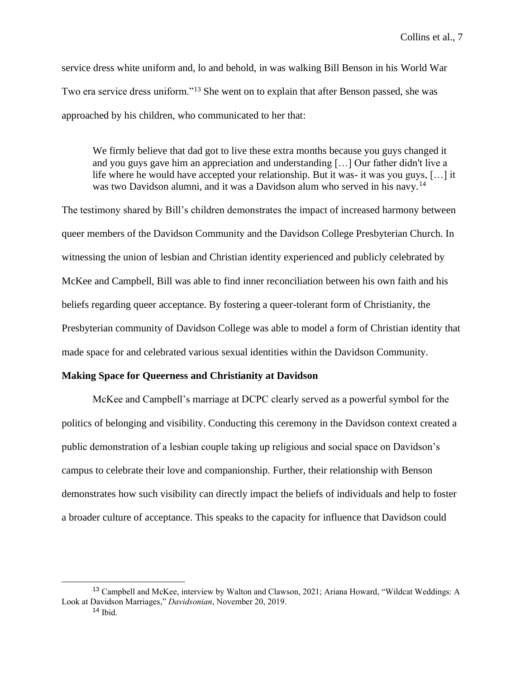Collins et al., 7

service dress white uniform and, lo and behold, in was walking Bill Benson in his World War Two era service dress uniform."<sup>13</sup> She went on to explain that after Benson passed, she was approached by his children, who communicated to her that:

We firmly believe that dad got to live these extra months because you guys changed it and you guys gave him an appreciation and understanding […] Our father didn't live a life where he would have accepted your relationship. But it was- it was you guys, […] it was two Davidson alumni, and it was a Davidson alum who served in his navy.<sup>14</sup>

The testimony shared by Bill's children demonstrates the impact of increased harmony between queer members of the Davidson Community and the Davidson College Presbyterian Church. In witnessing the union of lesbian and Christian identity experienced and publicly celebrated by McKee and Campbell, Bill was able to find inner reconciliation between his own faith and his beliefs regarding queer acceptance. By fostering a queer-tolerant form of Christianity, the Presbyterian community of Davidson College was able to model a form of Christian identity that made space for and celebrated various sexual identities within the Davidson Community.

## **Making Space for Queerness and Christianity at Davidson**

McKee and Campbell's marriage at DCPC clearly served as a powerful symbol for the politics of belonging and visibility. Conducting this ceremony in the Davidson context created a public demonstration of a lesbian couple taking up religious and social space on Davidson's campus to celebrate their love and companionship. Further, their relationship with Benson demonstrates how such visibility can directly impact the beliefs of individuals and help to foster a broader culture of acceptance. This speaks to the capacity for influence that Davidson could

<sup>&</sup>lt;sup>13</sup> Campbell and McKee, interview by Walton and Clawson, 2021; Ariana Howard, "Wildcat Weddings: A Look at Davidson Marriages," *Davidsonian*, November 20, 2019.

 $14$  Ibid.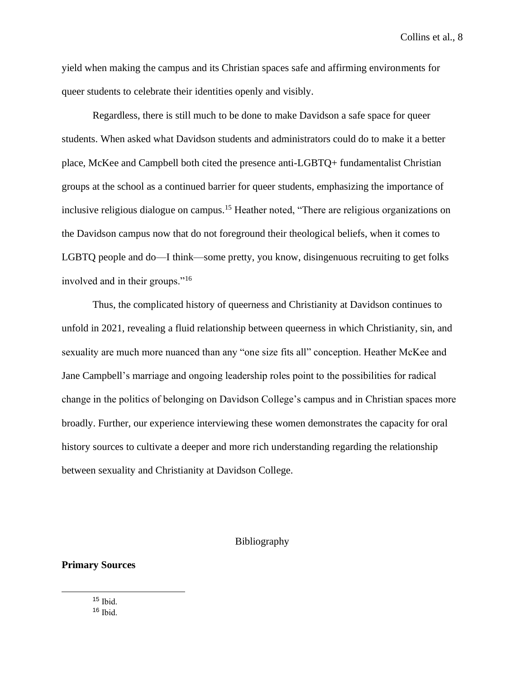Collins et al., 8

yield when making the campus and its Christian spaces safe and affirming environments for queer students to celebrate their identities openly and visibly.

Regardless, there is still much to be done to make Davidson a safe space for queer students. When asked what Davidson students and administrators could do to make it a better place, McKee and Campbell both cited the presence anti-LGBTQ+ fundamentalist Christian groups at the school as a continued barrier for queer students, emphasizing the importance of inclusive religious dialogue on campus.<sup>15</sup> Heather noted, "There are religious organizations on the Davidson campus now that do not foreground their theological beliefs, when it comes to LGBTQ people and do—I think—some pretty, you know, disingenuous recruiting to get folks involved and in their groups."<sup>16</sup>

Thus, the complicated history of queerness and Christianity at Davidson continues to unfold in 2021, revealing a fluid relationship between queerness in which Christianity, sin, and sexuality are much more nuanced than any "one size fits all" conception. Heather McKee and Jane Campbell's marriage and ongoing leadership roles point to the possibilities for radical change in the politics of belonging on Davidson College's campus and in Christian spaces more broadly. Further, our experience interviewing these women demonstrates the capacity for oral history sources to cultivate a deeper and more rich understanding regarding the relationship between sexuality and Christianity at Davidson College.

#### Bibliography

## **Primary Sources**

<sup>15</sup> Ibid.  $16$  Ihid.